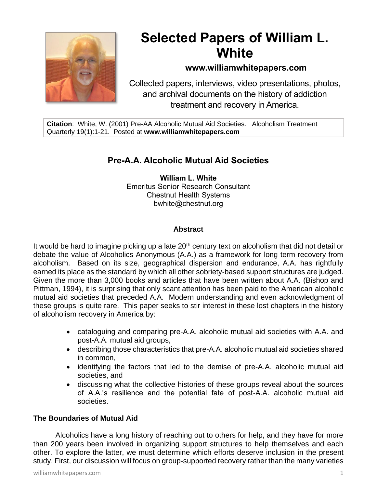

# **Selected Papers of William L. White**

# **www.williamwhitepapers.com**

Collected papers, interviews, video presentations, photos, and archival documents on the history of addiction treatment and recovery in America.

**Citation**: White, W. (2001) Pre-AA Alcoholic Mutual Aid Societies. Alcoholism Treatment Quarterly 19(1):1-21. Posted at **www.williamwhitepapers.com**

# **Pre-A.A. Alcoholic Mutual Aid Societies**

**William L. White** Emeritus Senior Research Consultant Chestnut Health Systems bwhite@chestnut.org

## **Abstract**

It would be hard to imagine picking up a late  $20<sup>th</sup>$  century text on alcoholism that did not detail or debate the value of Alcoholics Anonymous (A.A.) as a framework for long term recovery from alcoholism. Based on its size, geographical dispersion and endurance, A.A. has rightfully earned its place as the standard by which all other sobriety-based support structures are judged. Given the more than 3,000 books and articles that have been written about A.A. (Bishop and Pittman, 1994), it is surprising that only scant attention has been paid to the American alcoholic mutual aid societies that preceded A.A. Modern understanding and even acknowledgment of these groups is quite rare. This paper seeks to stir interest in these lost chapters in the history of alcoholism recovery in America by:

- cataloguing and comparing pre-A.A. alcoholic mutual aid societies with A.A. and post-A.A. mutual aid groups,
- describing those characteristics that pre-A.A. alcoholic mutual aid societies shared in common,
- identifying the factors that led to the demise of pre-A.A. alcoholic mutual aid societies, and
- discussing what the collective histories of these groups reveal about the sources of A.A.'s resilience and the potential fate of post-A.A. alcoholic mutual aid societies.

### **The Boundaries of Mutual Aid**

Alcoholics have a long history of reaching out to others for help, and they have for more than 200 years been involved in organizing support structures to help themselves and each other. To explore the latter, we must determine which efforts deserve inclusion in the present study. First, our discussion will focus on group-supported recovery rather than the many varieties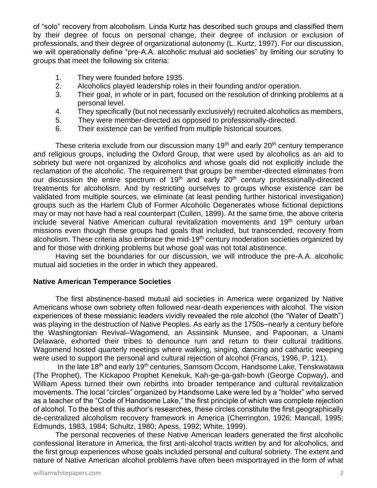of "solo" recovery from alcoholism. Linda Kurtz has described such groups and classified them by their degree of focus on personal change, their degree of inclusion or exclusion of professionals, and their degree of organizational autonomy (L. Kurtz, 1997). For our discussion, we will operationally define "pre-A.A. alcoholic mutual aid societies" by limiting our scrutiny to groups that meet the following six criteria:

- 1. They were founded before 1935.
- 2. Alcoholics played leadership roles in their founding and/or operation.
- 3. Their goal, in whole or in part, focused on the resolution of drinking problems at a personal level.
- 4. They specifically (but not necessarily exclusively) recruited alcoholics as members,
- 5. They were member-directed as opposed to professionally-directed.
- 6. Their existence can be verified from multiple historical sources.

These criteria exclude from our discussion many  $19<sup>th</sup>$  and early  $20<sup>th</sup>$  century temperance and religious groups, including the Oxford Group, that were used by alcoholics as an aid to sobriety but were not organized by alcoholics and whose goals did not explicitly include the reclamation of the alcoholic. The requirement that groups be member-directed eliminates from our discussion the entire spectrum of 19<sup>th</sup> and early 20<sup>th</sup> century professionally-directed treatments for alcoholism. And by restricting ourselves to groups whose existence can be validated from multiple sources, we eliminate (at least pending further historical investigation) groups such as the Harlem Club of Former Alcoholic Degenerates whose fictional depictions may or may not have had a real counterpart (Cullen, 1899). At the same time, the above criteria include several Native American cultural revitalization movements and 19<sup>th</sup> century urban missions even though these groups had goals that included, but transcended, recovery from alcoholism. These criteria also embrace the mid-19<sup>th</sup> century moderation societies organized by and for those with drinking problems but whose goal was not total abstinence.

Having set the boundaries for our discussion, we will introduce the pre-A.A. alcoholic mutual aid societies in the order in which they appeared.

#### **Native American Temperance Societies**

The first abstinence-based mutual aid societies in America were organized by Native Americans whose own sobriety often followed near-death experiences with alcohol. The vision experiences of these messianic leaders vividly revealed the role alcohol (the "Water of Death") was playing in the destruction of Native Peoples. As early as the 1750s–nearly a century before the Washingtonian Revival–Wagomend, an Assinsink Munsee, and Papoonan, a Unami Delaware, exhorted their tribes to denounce rum and return to their cultural traditions. Wagomend hosted quarterly meetings where walking, singing, dancing and cathartic weeping were used to support the personal and cultural rejection of alcohol (Francis, 1996, P. 121).

In the late 18th and early 19th centuries, Samsom Occom, Handsome Lake, Tenskwatawa (The Prophet), The Kickapoo Prophet Kenekuk, Kah-ge-ga-gah-bowh (George Copway), and William Apess turned their own rebirths into broader temperance and cultural revitalization movements. The local "circles" organized by Handsome Lake were led by a "holder" who served as a teacher of the "Code of Handsome Lake," the first principle of which was complete rejection of alcohol. To the best of this author's researches, these circles constitute the first geographically de-centralized alcoholism recovery framework in America (Cherrington, 1926; Mancall, 1995; Edmunds, 1983, 1984; Schultz, 1980; Apess, 1992; White, 1999).

The personal recoveries of these Native American leaders generated the first alcoholic confessional literature in America, the first anti-alcohol tracts written by and for alcoholics, and the first group experiences whose goals included personal and cultural sobriety. The extent and nature of Native American alcohol problems have often been misportrayed in the form of what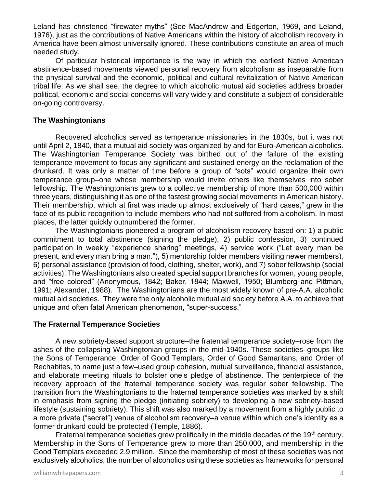Leland has christened "firewater myths" (See MacAndrew and Edgerton, 1969, and Leland, 1976), just as the contributions of Native Americans within the history of alcoholism recovery in America have been almost universally ignored. These contributions constitute an area of much needed study.

Of particular historical importance is the way in which the earliest Native American abstinence-based movements viewed personal recovery from alcoholism as inseparable from the physical survival and the economic, political and cultural revitalization of Native American tribal life. As we shall see, the degree to which alcoholic mutual aid societies address broader political, economic and social concerns will vary widely and constitute a subject of considerable on-going controversy.

#### **The Washingtonians**

Recovered alcoholics served as temperance missionaries in the 1830s, but it was not until April 2, 1840, that a mutual aid society was organized by and for Euro-American alcoholics. The Washingtonian Temperance Society was birthed out of the failure of the existing temperance movement to focus any significant and sustained energy on the reclamation of the drunkard. It was only a matter of time before a group of "sots" would organize their own temperance group–one whose membership would invite others like themselves into sober fellowship. The Washingtonians grew to a collective membership of more than 500,000 within three years, distinguishing it as one of the fastest growing social movements in American history. Their membership, which at first was made up almost exclusively of "hard cases," grew in the face of its public recognition to include members who had not suffered from alcoholism. In most places, the latter quickly outnumbered the former.

The Washingtonians pioneered a program of alcoholism recovery based on: 1) a public commitment to total abstinence (signing the pledge), 2) public confession, 3) continued participation in weekly "experience sharing" meetings, 4) service work ("Let every man be present, and every man bring a man."), 5) mentorship (older members visiting newer members), 6) personal assistance (provision of food, clothing, shelter, work), and 7) sober fellowship (social activities). The Washingtonians also created special support branches for women, young people, and "free colored" (Anonymous, 1842; Baker, 1844; Maxwell, 1950; Blumberg and Pittman, 1991; Alexander, 1988). The Washingtonians are the most widely known of pre-A.A. alcoholic mutual aid societies. They were the only alcoholic mutual aid society before A.A. to achieve that unique and often fatal American phenomenon, "super-success."

#### **The Fraternal Temperance Societies**

A new sobriety-based support structure–the fraternal temperance society–rose from the ashes of the collapsing Washingtonian groups in the mid-1940s. These societies–groups like the Sons of Temperance, Order of Good Templars, Order of Good Samaritans, and Order of Rechabites, to name just a few–used group cohesion, mutual surveillance, financial assistance, and elaborate meeting rituals to bolster one's pledge of abstinence. The centerpiece of the recovery approach of the fraternal temperance society was regular sober fellowship. The transition from the Washingtonians to the fraternal temperance societies was marked by a shift in emphasis from signing the pledge (initiating sobriety) to developing a new sobriety-based lifestyle (sustaining sobriety). This shift was also marked by a movement from a highly public to a more private ("secret") venue of alcoholism recovery–a venue within which one's identity as a former drunkard could be protected (Temple, 1886).

Fraternal temperance societies grew prolifically in the middle decades of the 19<sup>th</sup> century. Membership in the Sons of Temperance grew to more than 250,000, and membership in the Good Templars exceeded 2.9 million. Since the membership of most of these societies was not exclusively alcoholics, the number of alcoholics using these societies as frameworks for personal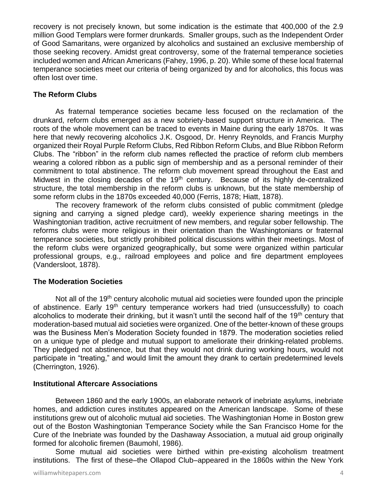recovery is not precisely known, but some indication is the estimate that 400,000 of the 2.9 million Good Templars were former drunkards. Smaller groups, such as the Independent Order of Good Samaritans, were organized by alcoholics and sustained an exclusive membership of those seeking recovery. Amidst great controversy, some of the fraternal temperance societies included women and African Americans (Fahey, 1996, p. 20). While some of these local fraternal temperance societies meet our criteria of being organized by and for alcoholics, this focus was often lost over time.

#### **The Reform Clubs**

As fraternal temperance societies became less focused on the reclamation of the drunkard, reform clubs emerged as a new sobriety-based support structure in America. The roots of the whole movement can be traced to events in Maine during the early 1870s. It was here that newly recovering alcoholics J.K. Osgood, Dr. Henry Reynolds, and Francis Murphy organized their Royal Purple Reform Clubs, Red Ribbon Reform Clubs, and Blue Ribbon Reform Clubs. The "ribbon" in the reform club names reflected the practice of reform club members wearing a colored ribbon as a public sign of membership and as a personal reminder of their commitment to total abstinence. The reform club movement spread throughout the East and Midwest in the closing decades of the  $19<sup>th</sup>$  century. Because of its highly de-centralized structure, the total membership in the reform clubs is unknown, but the state membership of some reform clubs in the 1870s exceeded 40,000 (Ferris, 1878; Hiatt, 1878).

The recovery framework of the reform clubs consisted of public commitment (pledge signing and carrying a signed pledge card), weekly experience sharing meetings in the Washingtonian tradition, active recruitment of new members, and regular sober fellowship. The reforms clubs were more religious in their orientation than the Washingtonians or fraternal temperance societies, but strictly prohibited political discussions within their meetings. Most of the reform clubs were organized geographically, but some were organized within particular professional groups, e.g., railroad employees and police and fire department employees (Vandersloot, 1878).

#### **The Moderation Societies**

Not all of the 19<sup>th</sup> century alcoholic mutual aid societies were founded upon the principle of abstinence. Early 19<sup>th</sup> century temperance workers had tried (unsuccessfully) to coach alcoholics to moderate their drinking, but it wasn't until the second half of the 19<sup>th</sup> century that moderation-based mutual aid societies were organized. One of the better-known of these groups was the Business Men's Moderation Society founded in 1879. The moderation societies relied on a unique type of pledge and mutual support to ameliorate their drinking-related problems. They pledged not abstinence, but that they would not drink during working hours, would not participate in "treating," and would limit the amount they drank to certain predetermined levels (Cherrington, 1926).

#### **Institutional Aftercare Associations**

Between 1860 and the early 1900s, an elaborate network of inebriate asylums, inebriate homes, and addiction cures institutes appeared on the American landscape. Some of these institutions grew out of alcoholic mutual aid societies. The Washingtonian Home in Boston grew out of the Boston Washingtonian Temperance Society while the San Francisco Home for the Cure of the Inebriate was founded by the Dashaway Association, a mutual aid group originally formed for alcoholic firemen (Baumohl, 1986).

Some mutual aid societies were birthed within pre-existing alcoholism treatment institutions. The first of these–the Ollapod Club–appeared in the 1860s within the New York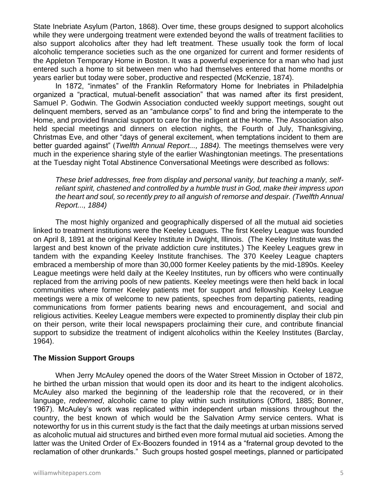State Inebriate Asylum (Parton, 1868). Over time, these groups designed to support alcoholics while they were undergoing treatment were extended beyond the walls of treatment facilities to also support alcoholics after they had left treatment. These usually took the form of local alcoholic temperance societies such as the one organized for current and former residents of the Appleton Temporary Home in Boston. It was a powerful experience for a man who had just entered such a home to sit between men who had themselves entered that home months or years earlier but today were sober, productive and respected (McKenzie, 1874).

In 1872, "inmates" of the Franklin Reformatory Home for Inebriates in Philadelphia organized a "practical, mutual-benefit association" that was named after its first president, Samuel P. Godwin. The Godwin Association conducted weekly support meetings, sought out delinquent members, served as an "ambulance corps" to find and bring the intemperate to the Home, and provided financial support to care for the indigent at the Home. The Association also held special meetings and dinners on election nights, the Fourth of July, Thanksgiving, Christmas Eve, and other "days of general excitement, when temptations incident to them are better guarded against" (*Twelfth Annual Report..., 1884).* The meetings themselves were very much in the experience sharing style of the earlier Washingtonian meetings. The presentations at the Tuesday night Total Abstinence Conversational Meetings were described as follows:

*These brief addresses, free from display and personal vanity, but teaching a manly, selfreliant spirit, chastened and controlled by a humble trust in God, make their impress upon the heart and soul, so recently prey to all anguish of remorse and despair. (Twelfth Annual Report..., 1884)*

The most highly organized and geographically dispersed of all the mutual aid societies linked to treatment institutions were the Keeley Leagues. The first Keeley League was founded on April 8, 1891 at the original Keeley Institute in Dwight, Illinois. (The Keeley Institute was the largest and best known of the private addiction cure institutes.) The Keeley Leagues grew in tandem with the expanding Keeley Institute franchises. The 370 Keeley League chapters embraced a membership of more than 30,000 former Keeley patients by the mid-1890s. Keeley League meetings were held daily at the Keeley Institutes, run by officers who were continually replaced from the arriving pools of new patients. Keeley meetings were then held back in local communities where former Keeley patients met for support and fellowship. Keeley League meetings were a mix of welcome to new patients, speeches from departing patients, reading communications from former patients bearing news and encouragement, and social and religious activities. Keeley League members were expected to prominently display their club pin on their person, write their local newspapers proclaiming their cure, and contribute financial support to subsidize the treatment of indigent alcoholics within the Keeley Institutes (Barclay, 1964).

#### **The Mission Support Groups**

When Jerry McAuley opened the doors of the Water Street Mission in October of 1872, he birthed the urban mission that would open its door and its heart to the indigent alcoholics. McAuley also marked the beginning of the leadership role that the recovered, or in their language, *redeemed*, alcoholic came to play within such institutions (Offord, 1885; Bonner, 1967). McAuley's work was replicated within independent urban missions throughout the country, the best known of which would be the Salvation Army service centers. What is noteworthy for us in this current study is the fact that the daily meetings at urban missions served as alcoholic mutual aid structures and birthed even more formal mutual aid societies. Among the latter was the United Order of Ex-Boozers founded in 1914 as a "fraternal group devoted to the reclamation of other drunkards." Such groups hosted gospel meetings, planned or participated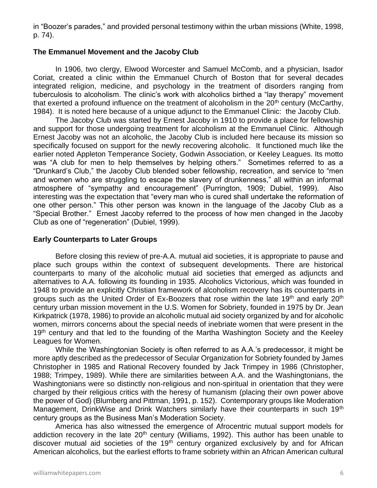in "Boozer's parades," and provided personal testimony within the urban missions (White, 1998, p. 74).

#### **The Emmanuel Movement and the Jacoby Club**

In 1906, two clergy, Elwood Worcester and Samuel McComb, and a physician, Isador Coriat, created a clinic within the Emmanuel Church of Boston that for several decades integrated religion, medicine, and psychology in the treatment of disorders ranging from tuberculosis to alcoholism. The clinic's work with alcoholics birthed a "lay therapy" movement that exerted a profound influence on the treatment of alcoholism in the 20<sup>th</sup> century (McCarthy, 1984). It is noted here because of a unique adjunct to the Emmanuel Clinic: the Jacoby Club.

The Jacoby Club was started by Ernest Jacoby in 1910 to provide a place for fellowship and support for those undergoing treatment for alcoholism at the Emmanuel Clinic. Although Ernest Jacoby was not an alcoholic, the Jacoby Club is included here because its mission so specifically focused on support for the newly recovering alcoholic. It functioned much like the earlier noted Appleton Temperance Society, Godwin Association, or Keeley Leagues. Its motto was "A club for men to help themselves by helping others." Sometimes referred to as a "Drunkard's Club," the Jacoby Club blended sober fellowship, recreation, and service to "men and women who are struggling to escape the slavery of drunkenness," all within an informal atmosphere of "sympathy and encouragement" (Purrington, 1909; Dubiel, 1999). Also interesting was the expectation that "every man who is cured shall undertake the reformation of one other person." This other person was known in the language of the Jacoby Club as a "Special Brother." Ernest Jacoby referred to the process of how men changed in the Jacoby Club as one of "regeneration" (Dubiel, 1999).

#### **Early Counterparts to Later Groups**

Before closing this review of pre-A.A. mutual aid societies, it is appropriate to pause and place such groups within the context of subsequent developments. There are historical counterparts to many of the alcoholic mutual aid societies that emerged as adjuncts and alternatives to A.A. following its founding in 1935. Alcoholics Victorious, which was founded in 1948 to provide an explicitly Christian framework of alcoholism recovery has its counterparts in groups such as the United Order of Ex-Boozers that rose within the late 19<sup>th</sup> and early 20<sup>th</sup> century urban mission movement in the U.S. Women for Sobriety, founded in 1975 by Dr. Jean Kirkpatrick (1978, 1986) to provide an alcoholic mutual aid society organized by and for alcoholic women, mirrors concerns about the special needs of inebriate women that were present in the 19<sup>th</sup> century and that led to the founding of the Martha Washington Society and the Keeley Leagues for Women.

While the Washingtonian Society is often referred to as A.A.'s predecessor, it might be more aptly described as the predecessor of Secular Organization for Sobriety founded by James Christopher in 1985 and Rational Recovery founded by Jack Trimpey in 1986 (Christopher, 1988; Trimpey, 1989). While there are similarities between A.A. and the Washingtonians, the Washingtonians were so distinctly non-religious and non-spiritual in orientation that they were charged by their religious critics with the heresy of humanism (placing their own power above the power of God) (Blumberg and Pittman, 1991, p. 152). Contemporary groups like Moderation Management, DrinkWise and Drink Watchers similarly have their counterparts in such 19<sup>th</sup> century groups as the Business Man's Moderation Society.

America has also witnessed the emergence of Afrocentric mutual support models for addiction recovery in the late  $20<sup>th</sup>$  century (Williams, 1992). This author has been unable to discover mutual aid societies of the 19<sup>th</sup> century organized exclusively by and for African American alcoholics, but the earliest efforts to frame sobriety within an African American cultural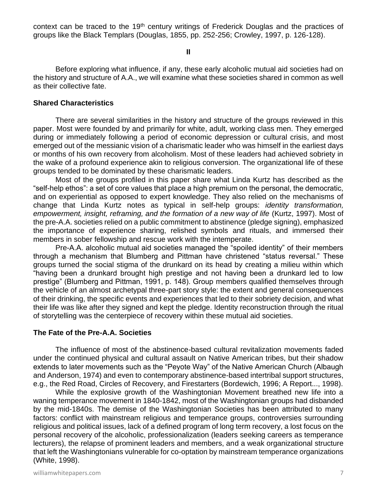context can be traced to the 19<sup>th</sup> century writings of Frederick Douglas and the practices of groups like the Black Templars (Douglas, 1855, pp. 252-256; Crowley, 1997, p. 126-128).

**II**

Before exploring what influence, if any, these early alcoholic mutual aid societies had on the history and structure of A.A., we will examine what these societies shared in common as well as their collective fate.

#### **Shared Characteristics**

There are several similarities in the history and structure of the groups reviewed in this paper. Most were founded by and primarily for white, adult, working class men. They emerged during or immediately following a period of economic depression or cultural crisis, and most emerged out of the messianic vision of a charismatic leader who was himself in the earliest days or months of his own recovery from alcoholism. Most of these leaders had achieved sobriety in the wake of a profound experience akin to religious conversion. The organizational life of these groups tended to be dominated by these charismatic leaders.

Most of the groups profiled in this paper share what Linda Kurtz has described as the "self-help ethos": a set of core values that place a high premium on the personal, the democratic, and on experiential as opposed to expert knowledge. They also relied on the mechanisms of change that Linda Kurtz notes as typical in self-help groups: *identity transformation, empowerment, insight, reframing, and the formation of a new way of life* (Kurtz, 1997). Most of the pre-A.A. societies relied on a public commitment to abstinence (pledge signing), emphasized the importance of experience sharing, relished symbols and rituals, and immersed their members in sober fellowship and rescue work with the intemperate.

Pre-A.A. alcoholic mutual aid societies managed the "spoiled identity" of their members through a mechanism that Blumberg and Pittman have christened "status reversal." These groups turned the social stigma of the drunkard on its head by creating a milieu within which "having been a drunkard brought high prestige and not having been a drunkard led to low prestige" (Blumberg and Pittman, 1991, p. 148). Group members qualified themselves through the vehicle of an almost archetypal three-part story style: the extent and general consequences of their drinking, the specific events and experiences that led to their sobriety decision, and what their life was like after they signed and kept the pledge. Identity reconstruction through the ritual of storytelling was the centerpiece of recovery within these mutual aid societies.

#### **The Fate of the Pre-A.A. Societies**

The influence of most of the abstinence-based cultural revitalization movements faded under the continued physical and cultural assault on Native American tribes, but their shadow extends to later movements such as the "Peyote Way" of the Native American Church (Albaugh and Anderson, 1974) and even to contemporary abstinence-based intertribal support structures, e.g., the Red Road, Circles of Recovery, and Firestarters (Bordewich, 1996; A Report..., 1998).

While the explosive growth of the Washingtonian Movement breathed new life into a waning temperance movement in 1840-1842, most of the Washingtonian groups had disbanded by the mid-1840s. The demise of the Washingtonian Societies has been attributed to many factors: conflict with mainstream religious and temperance groups, controversies surrounding religious and political issues, lack of a defined program of long term recovery, a lost focus on the personal recovery of the alcoholic, professionalization (leaders seeking careers as temperance lecturers), the relapse of prominent leaders and members, and a weak organizational structure that left the Washingtonians vulnerable for co-optation by mainstream temperance organizations (White, 1998).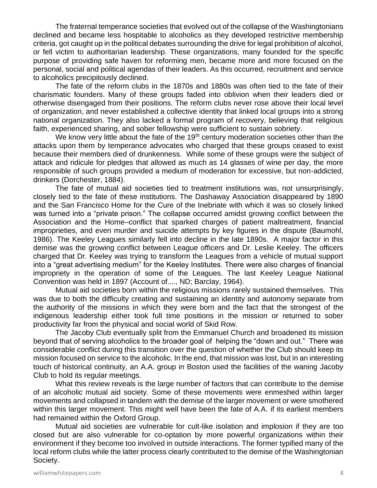The fraternal temperance societies that evolved out of the collapse of the Washingtonians declined and became less hospitable to alcoholics as they developed restrictive membership criteria, got caught up in the political debates surrounding the drive for legal prohibition of alcohol, or fell victim to authoritarian leadership. These organizations, many founded for the specific purpose of providing safe haven for reforming men, became more and more focused on the personal, social and political agendas of their leaders. As this occurred, recruitment and service to alcoholics precipitously declined.

The fate of the reform clubs in the 1870s and 1880s was often tied to the fate of their charismatic founders. Many of these groups faded into oblivion when their leaders died or otherwise disengaged from their positions. The reform clubs never rose above their local level of organization, and never established a collective identity that linked local groups into a strong national organization. They also lacked a formal program of recovery, believing that religious faith, experienced sharing, and sober fellowship were sufficient to sustain sobriety.

We know very little about the fate of the  $19<sup>th</sup>$  century moderation societies other than the attacks upon them by temperance advocates who charged that these groups ceased to exist because their members died of drunkenness. While some of these groups were the subject of attack and ridicule for pledges that allowed as much as 14 glasses of wine per day, the more responsible of such groups provided a medium of moderation for excessive, but non-addicted, drinkers (Dorchester, 1884).

The fate of mutual aid societies tied to treatment institutions was, not unsurprisingly, closely tied to the fate of these institutions. The Dashaway Association disappeared by 1890 and the San Francisco Home for the Cure of the Inebriate with which it was so closely linked was turned into a "private prison." The collapse occurred amidst growing conflict between the Association and the Home–conflict that sparked charges of patient maltreatment, financial improprieties, and even murder and suicide attempts by key figures in the dispute (Baumohl, 1986). The Keeley Leagues similarly fell into decline in the late 1890s. A major factor in this demise was the growing conflict between League officers and Dr. Leslie Keeley. The officers charged that Dr. Keeley was trying to transform the Leagues from a vehicle of mutual support into a "great advertising medium" for the Keeley Institutes. There were also charges of financial impropriety in the operation of some of the Leagues. The last Keeley League National Convention was held in 1897 (Account of...., ND; Barclay, 1964).

Mutual aid societies born within the religious missions rarely sustained themselves. This was due to both the difficulty creating and sustaining an identity and autonomy separate from the authority of the missions in which they were born and the fact that the strongest of the indigenous leadership either took full time positions in the mission or returned to sober productivity far from the physical and social world of Skid Row.

The Jacoby Club eventually split from the Emmanuel Church and broadened its mission beyond that of serving alcoholics to the broader goal of helping the "down and out." There was considerable conflict during this transition over the question of whether the Club should keep its mission focused on service to the alcoholic. In the end, that mission was lost, but in an interesting touch of historical continuity, an A.A. group in Boston used the facilities of the waning Jacoby Club to hold its regular meetings.

What this review reveals is the large number of factors that can contribute to the demise of an alcoholic mutual aid society. Some of these movements were enmeshed within larger movements and collapsed in tandem with the demise of the larger movement or were smothered within this larger movement. This might well have been the fate of A.A. if its earliest members had remained within the Oxford Group.

Mutual aid societies are vulnerable for cult-like isolation and implosion if they are too closed but are also vulnerable for co-optation by more powerful organizations within their environment if they become too involved in outside interactions. The former typified many of the local reform clubs while the latter process clearly contributed to the demise of the Washingtonian Society.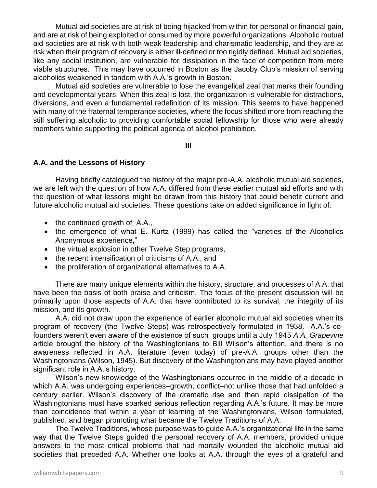Mutual aid societies are at risk of being hijacked from within for personal or financial gain, and are at risk of being exploited or consumed by more powerful organizations. Alcoholic mutual aid societies are at risk with both weak leadership and charismatic leadership, and they are at risk when their program of recovery is either ill-defined or too rigidly defined. Mutual aid societies, like any social institution, are vulnerable for dissipation in the face of competition from more viable structures. This may have occurred in Boston as the Jacoby Club's mission of serving alcoholics weakened in tandem with A.A.'s growth in Boston.

Mutual aid societies are vulnerable to lose the evangelical zeal that marks their founding and developmental years. When this zeal is lost, the organization is vulnerable for distractions, diversions, and even a fundamental redefinition of its mission. This seems to have happened with many of the fraternal temperance societies, where the focus shifted more from reaching the still suffering alcoholic to providing comfortable social fellowship for those who were already members while supporting the political agenda of alcohol prohibition.

**III**

#### **A.A. and the Lessons of History**

Having briefly catalogued the history of the major pre-A.A. alcoholic mutual aid societies, we are left with the question of how A.A. differed from these earlier mutual aid efforts and with the question of what lessons might be drawn from this history that could benefit current and future alcoholic mutual aid societies. These questions take on added significance in light of:

- the continued growth of A.A.,
- the emergence of what E. Kurtz (1999) has called the "varieties of the Alcoholics Anonymous experience,"
- the virtual explosion in other Twelve Step programs,
- the recent intensification of criticisms of A.A., and
- the proliferation of organizational alternatives to A.A.

There are many unique elements within the history, structure, and processes of A.A. that have been the basis of both praise and criticism. The focus of the present discussion will be primarily upon those aspects of A.A. that have contributed to its survival, the integrity of its mission, and its growth.

A.A. did not draw upon the experience of earlier alcoholic mutual aid societies when its program of recovery (the Twelve Steps) was retrospectively formulated in 1938. A.A.'s cofounders weren't even aware of the existence of such groups until a July 1945 *A.A. Grapevine* article brought the history of the Washingtonians to Bill Wilson's attention, and there is no awareness reflected in A.A. literature (even today) of pre-A.A. groups other than the Washingtonians (Wilson, 1945). But discovery of the Washingtonians may have played another significant role in A.A.'s history.

Wilson's new knowledge of the Washingtonians occurred in the middle of a decade in which A.A. was undergoing experiences–growth, conflict–not unlike those that had unfolded a century earlier. Wilson's discovery of the dramatic rise and then rapid dissipation of the Washingtonians must have sparked serious reflection regarding A.A.'s future. It may be more than coincidence that within a year of learning of the Washingtonians, Wilson formulated, published, and began promoting what became the Twelve Traditions of A.A.

The Twelve Traditions, whose purpose was to guide A.A.'s organizational life in the same way that the Twelve Steps guided the personal recovery of A.A. members, provided unique answers to the most critical problems that had mortally wounded the alcoholic mutual aid societies that preceded A.A. Whether one looks at A.A. through the eyes of a grateful and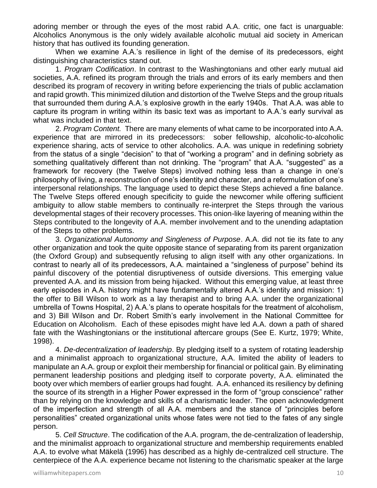adoring member or through the eyes of the most rabid A.A. critic, one fact is unarguable: Alcoholics Anonymous is the only widely available alcoholic mutual aid society in American history that has outlived its founding generation.

When we examine A.A.'s resilience in light of the demise of its predecessors, eight distinguishing characteristics stand out.

1. *Program Codification*. In contrast to the Washingtonians and other early mutual aid societies, A.A. refined its program through the trials and errors of its early members and then described its program of recovery in writing before experiencing the trials of public acclamation and rapid growth. This minimized dilution and distortion of the Twelve Steps and the group rituals that surrounded them during A.A.'s explosive growth in the early 1940s. That A.A. was able to capture its program in writing within its basic text was as important to A.A.'s early survival as what was included in that text.

2. *Program Content.* There are many elements of what came to be incorporated into A.A. experience that are mirrored in its predecessors: sober fellowship, alcoholic-to-alcoholic experience sharing, acts of service to other alcoholics. A.A. was unique in redefining sobriety from the status of a single "decision" to that of "working a program" and in defining sobriety as something qualitatively different than not drinking. The "program" that A.A. "suggested" as a framework for recovery (the Twelve Steps) involved nothing less than a change in one's philosophy of living, a reconstruction of one's identity and character, and a reformulation of one's interpersonal relationships. The language used to depict these Steps achieved a fine balance. The Twelve Steps offered enough specificity to guide the newcomer while offering sufficient ambiguity to allow stable members to continually re-interpret the Steps through the various developmental stages of their recovery processes. This onion-like layering of meaning within the Steps contributed to the longevity of A.A. member involvement and to the unending adaptation of the Steps to other problems.

3. *Organizational Autonomy and Singleness of Purpose*. A.A. did not tie its fate to any other organization and took the quite opposite stance of separating from its parent organization (the Oxford Group) and subsequently refusing to align itself with any other organizations. In contrast to nearly all of its predecessors, A.A. maintained a "singleness of purpose" behind its painful discovery of the potential disruptiveness of outside diversions. This emerging value prevented A.A. and its mission from being hijacked. Without this emerging value, at least three early episodes in A.A. history might have fundamentally altered A.A.'s identity and mission: 1) the offer to Bill Wilson to work as a lay therapist and to bring A.A. under the organizational umbrella of Towns Hospital, 2) A.A.'s plans to operate hospitals for the treatment of alcoholism, and 3) Bill Wilson and Dr. Robert Smith's early involvement in the National Committee for Education on Alcoholism. Each of these episodes might have led A.A. down a path of shared fate with the Washingtonians or the institutional aftercare groups (See E. Kurtz, 1979; White, 1998).

4. *De-decentralization of leadership*. By pledging itself to a system of rotating leadership and a minimalist approach to organizational structure, A.A. limited the ability of leaders to manipulate an A.A. group or exploit their membership for financial or political gain. By eliminating permanent leadership positions and pledging itself to corporate poverty, A.A. eliminated the booty over which members of earlier groups had fought. A.A. enhanced its resiliency by defining the source of its strength in a Higher Power expressed in the form of "group conscience" rather than by relying on the knowledge and skills of a charismatic leader. The open acknowledgment of the imperfection and strength of all A.A. members and the stance of "principles before personalities" created organizational units whose fates were not tied to the fates of any single person.

5. *Cell Structure*. The codification of the A.A. program, the de-centralization of leadership, and the minimalist approach to organizational structure and membership requirements enabled A.A. to evolve what Mäkelä (1996) has described as a highly de-centralized cell structure. The centerpiece of the A.A. experience became not listening to the charismatic speaker at the large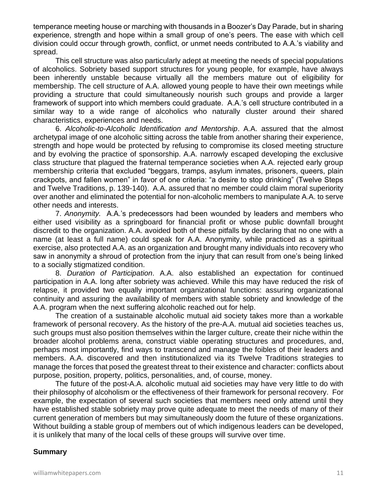temperance meeting house or marching with thousands in a Boozer's Day Parade, but in sharing experience, strength and hope within a small group of one's peers. The ease with which cell division could occur through growth, conflict, or unmet needs contributed to A.A.'s viability and spread.

This cell structure was also particularly adept at meeting the needs of special populations of alcoholics. Sobriety based support structures for young people, for example, have always been inherently unstable because virtually all the members mature out of eligibility for membership. The cell structure of A.A. allowed young people to have their own meetings while providing a structure that could simultaneously nourish such groups and provide a larger framework of support into which members could graduate. A.A.'s cell structure contributed in a similar way to a wide range of alcoholics who naturally cluster around their shared characteristics, experiences and needs.

6. *Alcoholic-to-Alcoholic Identification and Mentorship*. A.A. assured that the almost archetypal image of one alcoholic sitting across the table from another sharing their experience, strength and hope would be protected by refusing to compromise its closed meeting structure and by evolving the practice of sponsorship. A.A. narrowly escaped developing the exclusive class structure that plagued the fraternal temperance societies when A.A. rejected early group membership criteria that excluded "beggars, tramps, asylum inmates, prisoners, queers, plain crackpots, and fallen women" in favor of one criteria: "a desire to stop drinking" (Twelve Steps and Twelve Traditions, p. 139-140). A.A. assured that no member could claim moral superiority over another and eliminated the potential for non-alcoholic members to manipulate A.A. to serve other needs and interests.

7. *Anonymity.* A.A.'s predecessors had been wounded by leaders and members who either used visibility as a springboard for financial profit or whose public downfall brought discredit to the organization. A.A. avoided both of these pitfalls by declaring that no one with a name (at least a full name) could speak for A.A. Anonymity, while practiced as a spiritual exercise, also protected A.A. as an organization and brought many individuals into recovery who saw in anonymity a shroud of protection from the injury that can result from one's being linked to a socially stigmatized condition.

8. *Duration of Participation*. A.A. also established an expectation for continued participation in A.A. long after sobriety was achieved. While this may have reduced the risk of relapse, it provided two equally important organizational functions: assuring organizational continuity and assuring the availability of members with stable sobriety and knowledge of the A.A. program when the next suffering alcoholic reached out for help.

The creation of a sustainable alcoholic mutual aid society takes more than a workable framework of personal recovery. As the history of the pre-A.A. mutual aid societies teaches us, such groups must also position themselves within the larger culture, create their niche within the broader alcohol problems arena, construct viable operating structures and procedures, and, perhaps most importantly, find ways to transcend and manage the foibles of their leaders and members. A.A. discovered and then institutionalized via its Twelve Traditions strategies to manage the forces that posed the greatest threat to their existence and character: conflicts about purpose, position, property, politics, personalities, and, of course, money.

The future of the post-A.A. alcoholic mutual aid societies may have very little to do with their philosophy of alcoholism or the effectiveness of their framework for personal recovery. For example, the expectation of several such societies that members need only attend until they have established stable sobriety may prove quite adequate to meet the needs of many of their current generation of members but may simultaneously doom the future of these organizations. Without building a stable group of members out of which indigenous leaders can be developed, it is unlikely that many of the local cells of these groups will survive over time.

#### **Summary**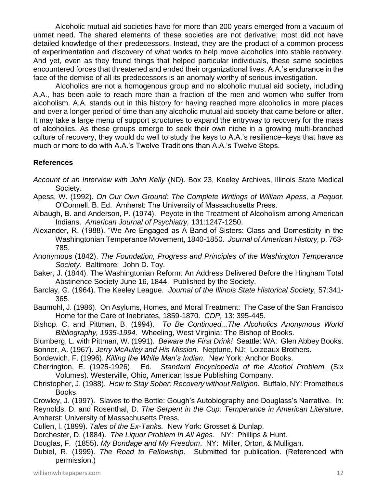Alcoholic mutual aid societies have for more than 200 years emerged from a vacuum of unmet need. The shared elements of these societies are not derivative; most did not have detailed knowledge of their predecessors. Instead, they are the product of a common process of experimentation and discovery of what works to help move alcoholics into stable recovery. And yet, even as they found things that helped particular individuals, these same societies encountered forces that threatened and ended their organizational lives. A.A.'s endurance in the face of the demise of all its predecessors is an anomaly worthy of serious investigation.

Alcoholics are not a homogenous group and no alcoholic mutual aid society, including A.A., has been able to reach more than a fraction of the men and women who suffer from alcoholism. A.A. stands out in this history for having reached more alcoholics in more places and over a longer period of time than any alcoholic mutual aid society that came before or after. It may take a large menu of support structures to expand the entryway to recovery for the mass of alcoholics. As these groups emerge to seek their own niche in a growing multi-branched culture of recovery, they would do well to study the keys to A.A.'s resilience–keys that have as much or more to do with A.A.'s Twelve Traditions than A.A.'s Twelve Steps.

#### **References**

- *Account of an Interview with John Kelly* (ND). Box 23, Keeley Archives, Illinois State Medical Society.
- Apess, W. (1992). *On Our Own Ground: The Complete Writings of William Apess, a Pequot.* O'Connell. B. Ed. Amherst: The University of Massachusetts Press.
- Albaugh, B. and Anderson, P. (1974). Peyote in the Treatment of Alcoholism among American Indians. *American Journal of Psychiatry,* 131:1247-1250.
- Alexander, R. (1988). "We Are Engaged as A Band of Sisters: Class and Domesticity in the Washingtonian Temperance Movement, 1840-1850. *Journal of American History,* p. 763- 785.
- Anonymous (1842). *The Foundation, Progress and Principles of the Washington Temperance Society.* Baltimore: John D. Toy.
- Baker, J. (1844). The Washingtonian Reform: An Address Delivered Before the Hingham Total Abstinence Society June 16, 1844. Published by the Society.
- Barclay, G. (1964). The Keeley League. *Journal of the Illinois State Historical Society,* 57:341- 365.
- Baumohl, J. (1986). On Asylums, Homes, and Moral Treatment: The Case of the San Francisco Home for the Care of Inebriates, 1859-1870. *CDP,* 13: 395-445.
- Bishop. C. and Pittman, B. (1994). *To Be Continued...The Alcoholics Anonymous World Bibliography, 1935-1994.* Wheeling, West Virginia: The Bishop of Books.
- Blumberg, L. with Pittman, W. (1991). *Beware the First Drink!* Seattle: WA: Glen Abbey Books. Bonner, A. (1967). *Jerry McAuley and His Mission.* Neptune, NJ: Loizeaux Brothers.
- Bordewich, F. (1996). *Killing the White Man's Indian*. New York: Anchor Books.
- Cherrington, E. (1925-1926). Ed. *Standard Encyclopedia of the Alcohol Problem,* (Six Volumes). Westerville, Ohio, American Issue Publishing Company.
- Christopher, J. (1988). *How to Stay Sober: Recovery without Religion.* Buffalo, NY: Prometheus Books.
- Crowley, J. (1997). Slaves to the Bottle: Gough's Autobiography and Douglass's Narrative. In:
- Reynolds, D. and Rosenthal, D. *The Serpent in the Cup: Temperance in American Literature*. Amherst: University of Massachusetts Press.
- Cullen, l. (1899). *Tales of the Ex-Tanks.* New York: Grosset & Dunlap.
- Dorchester, D. (1884). *The Liquor Problem In All Ages.* NY: Phillips & Hunt.
- Douglas, F. (1855). *My Bondage and My Freedom*. NY: Miller, Orton, & Mulligan.
- Dubiel, R. (1999). *The Road to Fellowship*. Submitted for publication. (Referenced with permission.)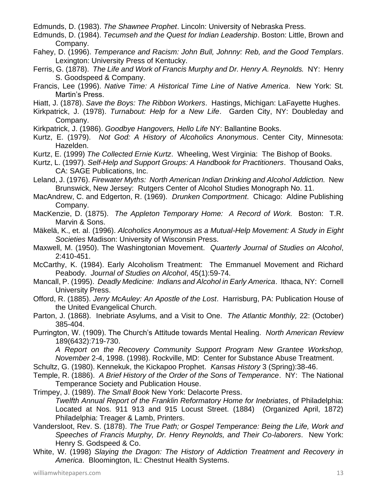Edmunds, D. (1983). *The Shawnee Prophet*. Lincoln: University of Nebraska Press.

- Edmunds, D. (1984). *Tecumseh and the Quest for Indian Leadership*. Boston: Little, Brown and Company.
- Fahey, D. (1996). *Temperance and Racism: John Bull, Johnny: Reb, and the Good Templars*. Lexington: University Press of Kentucky.
- Ferris, G. (1878). *The Life and Work of Francis Murphy and Dr. Henry A. Reynolds.* NY: Henry S. Goodspeed & Company.
- Francis, Lee (1996). *Native Time: A Historical Time Line of Native America*. New York: St. Martin's Press.
- Hiatt, J. (1878). *Save the Boys: The Ribbon Workers*. Hastings, Michigan: LaFayette Hughes.
- Kirkpatrick, J. (1978). *Turnabout: Help for a New Life*. Garden City, NY: Doubleday and Company.
- Kirkpatrick, J. (1986). *Goodbye Hangovers, Hello Life* NY: Ballantine Books.
- Kurtz, E. (1979). *Not God: A History of Alcoholics Anonymous*. Center City, Minnesota: Hazelden.
- Kurtz, E. (1999) *The Collected Ernie Kurtz*. Wheeling, West Virginia: The Bishop of Books.
- Kurtz, L. (1997). *Self-Help and Support Groups: A Handbook for Practitioners*. Thousand Oaks, CA: SAGE Publications, Inc.
- Leland, J. (1976). *Firewater Myths: North American Indian Drinking and Alcohol Addiction.* New Brunswick, New Jersey: Rutgers Center of Alcohol Studies Monograph No. 11.
- MacAndrew, C. and Edgerton, R. (1969). *Drunken Comportment*. Chicago: Aldine Publishing Company.
- MacKenzie, D. (1875). *The Appleton Temporary Home: A Record of Work.* Boston: T.R. Marvin & Sons.
- Mäkelä, K., et. al. (1996). *Alcoholics Anonymous as a Mutual-Help Movement: A Study in Eight Societies* Madison: University of Wisconsin Press.
- Maxwell, M. (1950). The Washingtonian Movement. *Quarterly Journal of Studies on Alcohol*, 2:410-451.
- McCarthy, K. (1984). Early Alcoholism Treatment: The Emmanuel Movement and Richard Peabody. *Journal of Studies on Alcohol*, 45(1):59-74.
- Mancall, P. (1995). *Deadly Medicine: Indians and Alcohol in Early America*. Ithaca, NY: Cornell University Press.
- Offord, R. (1885). *Jerry McAuley: An Apostle of the Lost*. Harrisburg, PA: Publication House of the United Evangelical Church.
- Parton, J. (1868). Inebriate Asylums, and a Visit to One. *The Atlantic Monthly,* 22: (October) 385-404.
- Purrington, W. (1909). The Church's Attitude towards Mental Healing. *North American Review* 189(6432):719-730.

*A Report on the Recovery Community Support Program New Grantee Workshop, November* 2-4, 1998. (1998). Rockville, MD: Center for Substance Abuse Treatment.

Schultz, G. (1980). Kennekuk, the Kickapoo Prophet. *Kansas History* 3 (Spring):38-46.

- Temple, R. (1886). *A Brief History of the Order of the Sons of Temperance*. NY: The National Temperance Society and Publication House.
- Trimpey, J. (1989). *The Small Book* New York: Delacorte Press.

*Twelfth Annual Report of the Franklin Reformatory Home for Inebriates*, of Philadelphia: Located at Nos. 911 913 and 915 Locust Street. (1884) (Organized April, 1872) Philadelphia: Treager & Lamb, Printers.

- Vandersloot, Rev. S. (1878). *The True Path; or Gospel Temperance: Being the Life, Work and Speeches of Francis Murphy, Dr. Henry Reynolds, and Their Co-laborers*. New York: Henry S. Godspeed & Co.
- White, W. (1998) *Slaying the Dragon: The History of Addiction Treatment and Recovery in America*. Bloomington, IL: Chestnut Health Systems.